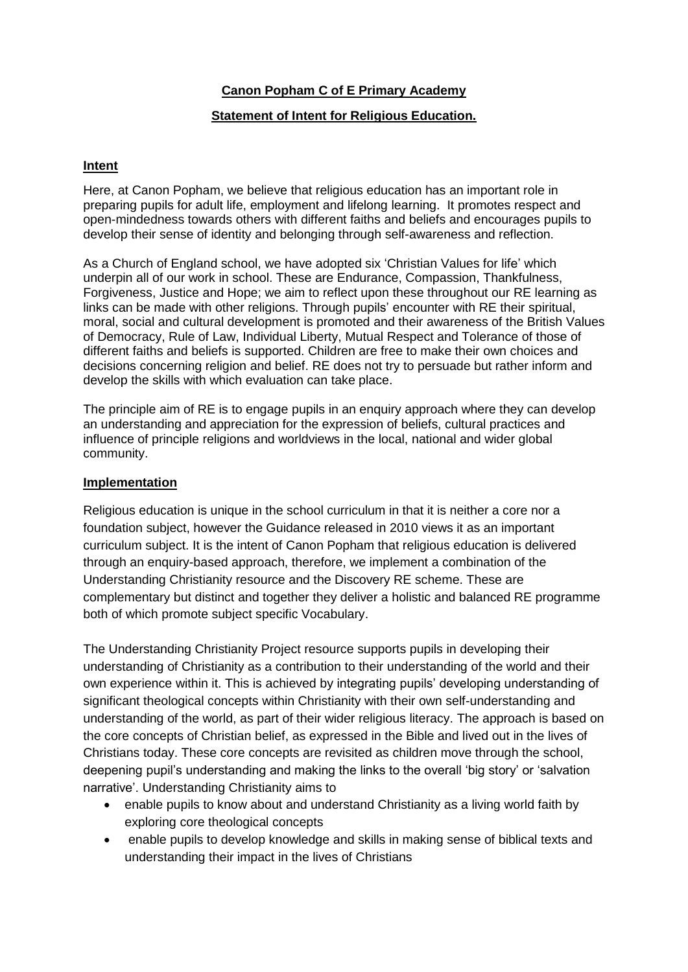## **Canon Popham C of E Primary Academy**

## **Statement of Intent for Religious Education.**

# **Intent**

Here, at Canon Popham, we believe that religious education has an important role in preparing pupils for adult life, employment and lifelong learning. It promotes respect and open-mindedness towards others with different faiths and beliefs and encourages pupils to develop their sense of identity and belonging through self-awareness and reflection.

As a Church of England school, we have adopted six 'Christian Values for life' which underpin all of our work in school. These are Endurance, Compassion, Thankfulness, Forgiveness, Justice and Hope; we aim to reflect upon these throughout our RE learning as links can be made with other religions. Through pupils' encounter with RE their spiritual, moral, social and cultural development is promoted and their awareness of the British Values of Democracy, Rule of Law, Individual Liberty, Mutual Respect and Tolerance of those of different faiths and beliefs is supported. Children are free to make their own choices and decisions concerning religion and belief. RE does not try to persuade but rather inform and develop the skills with which evaluation can take place.

The principle aim of RE is to engage pupils in an enquiry approach where they can develop an understanding and appreciation for the expression of beliefs, cultural practices and influence of principle religions and worldviews in the local, national and wider global community.

#### **Implementation**

Religious education is unique in the school curriculum in that it is neither a core nor a foundation subject, however the Guidance released in 2010 views it as an important curriculum subject. It is the intent of Canon Popham that religious education is delivered through an enquiry-based approach, therefore, we implement a combination of the Understanding Christianity resource and the Discovery RE scheme. These are complementary but distinct and together they deliver a holistic and balanced RE programme both of which promote subject specific Vocabulary.

The Understanding Christianity Project resource supports pupils in developing their understanding of Christianity as a contribution to their understanding of the world and their own experience within it. This is achieved by integrating pupils' developing understanding of significant theological concepts within Christianity with their own self-understanding and understanding of the world, as part of their wider religious literacy. The approach is based on the core concepts of Christian belief, as expressed in the Bible and lived out in the lives of Christians today. These core concepts are revisited as children move through the school, deepening pupil's understanding and making the links to the overall 'big story' or 'salvation narrative'. Understanding Christianity aims to

- enable pupils to know about and understand Christianity as a living world faith by exploring core theological concepts
- enable pupils to develop knowledge and skills in making sense of biblical texts and understanding their impact in the lives of Christians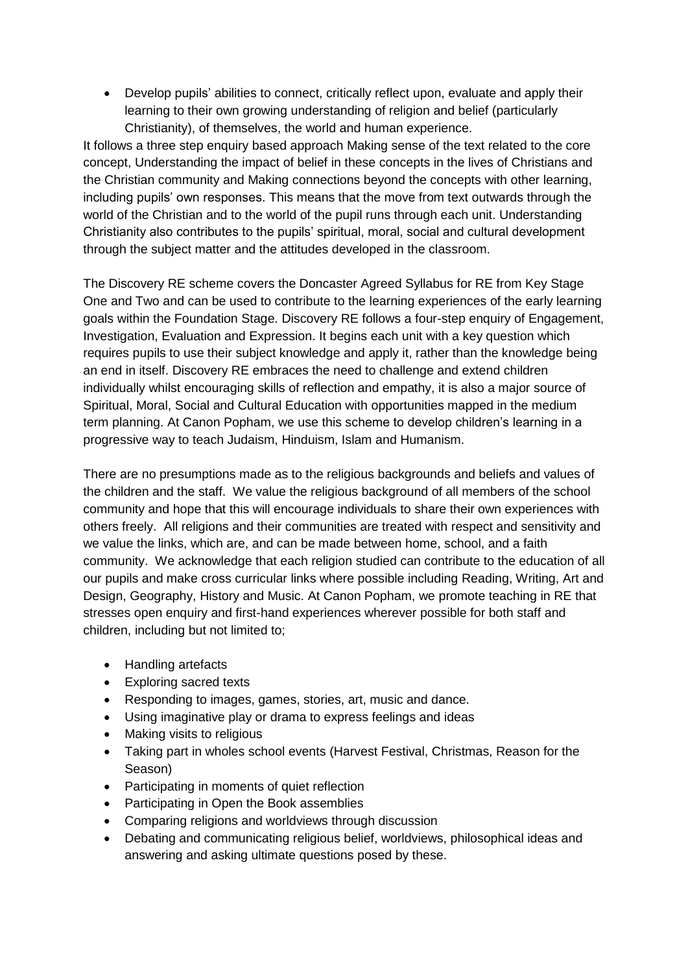• Develop pupils' abilities to connect, critically reflect upon, evaluate and apply their learning to their own growing understanding of religion and belief (particularly Christianity), of themselves, the world and human experience.

It follows a three step enquiry based approach Making sense of the text related to the core concept, Understanding the impact of belief in these concepts in the lives of Christians and the Christian community and Making connections beyond the concepts with other learning, including pupils' own responses. This means that the move from text outwards through the world of the Christian and to the world of the pupil runs through each unit. Understanding Christianity also contributes to the pupils' spiritual, moral, social and cultural development through the subject matter and the attitudes developed in the classroom.

The Discovery RE scheme covers the Doncaster Agreed Syllabus for RE from Key Stage One and Two and can be used to contribute to the learning experiences of the early learning goals within the Foundation Stage. Discovery RE follows a four-step enquiry of Engagement, Investigation, Evaluation and Expression. It begins each unit with a key question which requires pupils to use their subject knowledge and apply it, rather than the knowledge being an end in itself. Discovery RE embraces the need to challenge and extend children individually whilst encouraging skills of reflection and empathy, it is also a major source of Spiritual, Moral, Social and Cultural Education with opportunities mapped in the medium term planning. At Canon Popham, we use this scheme to develop children's learning in a progressive way to teach Judaism, Hinduism, Islam and Humanism.

There are no presumptions made as to the religious backgrounds and beliefs and values of the children and the staff. We value the religious background of all members of the school community and hope that this will encourage individuals to share their own experiences with others freely. All religions and their communities are treated with respect and sensitivity and we value the links, which are, and can be made between home, school, and a faith community. We acknowledge that each religion studied can contribute to the education of all our pupils and make cross curricular links where possible including Reading, Writing, Art and Design, Geography, History and Music. At Canon Popham, we promote teaching in RE that stresses open enquiry and first-hand experiences wherever possible for both staff and children, including but not limited to;

- Handling artefacts
- Exploring sacred texts
- Responding to images, games, stories, art, music and dance.
- Using imaginative play or drama to express feelings and ideas
- Making visits to religious
- Taking part in wholes school events (Harvest Festival, Christmas, Reason for the Season)
- Participating in moments of quiet reflection
- Participating in Open the Book assemblies
- Comparing religions and worldviews through discussion
- Debating and communicating religious belief, worldviews, philosophical ideas and answering and asking ultimate questions posed by these.